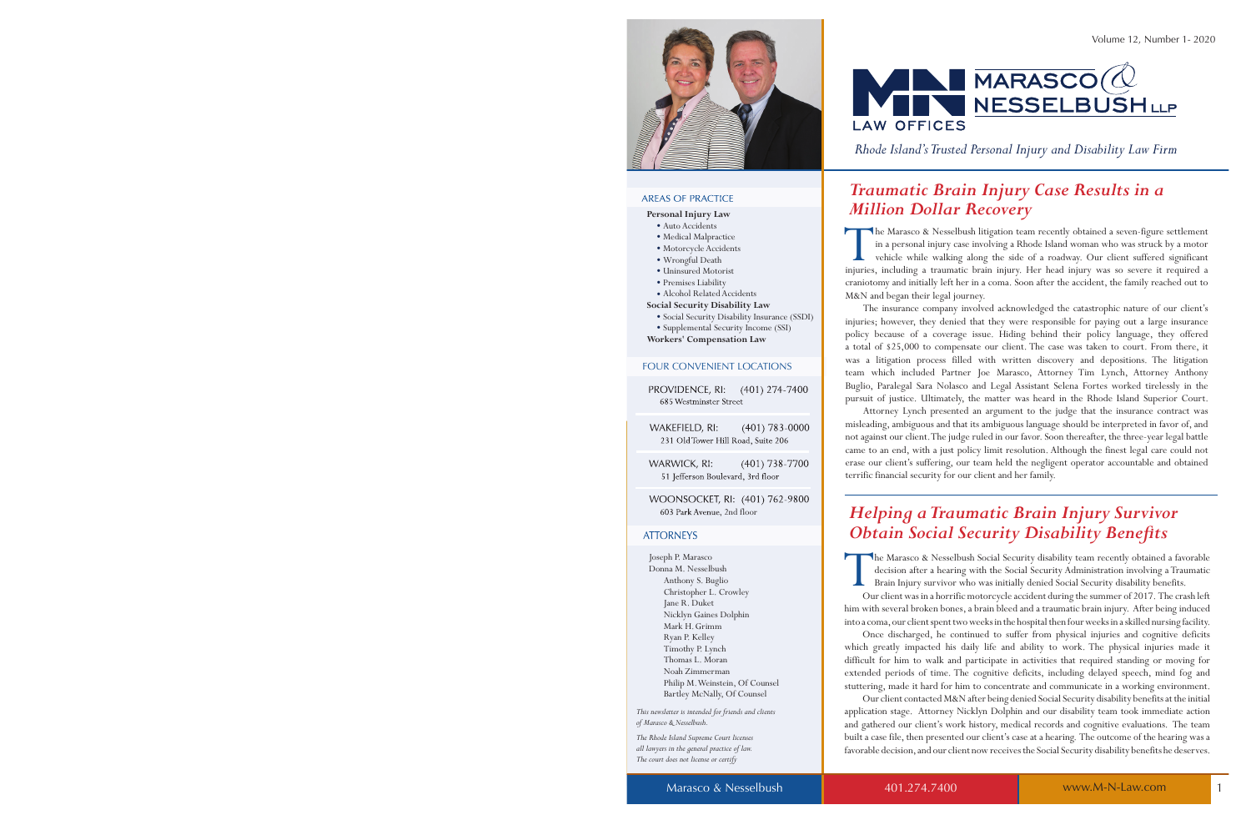

#### **AREAS OF PRACTICE**

#### **Personal Injury Law**

- Auto Accidents
- Medical Malpractice
- Motorcycle Accidents
- Wrongful Death
- Uninsured Motorist
- Premises Liability
- Alcohol Related Accidents
- **Social Security Disability Law**
	- Social Security Disability Insurance (SSDI)
	- Supplemental Security Income (SSI)

**Workers' Compensation Law**

#### FOUR CONVENIENT LOCATIONS

PROVIDENCE, RI:  $(401)$  274-7400 685 Westminster Street

WAKEFIELD, RI:  $(401) 783 - 0000$ 231 Old Tower Hill Road, Suite 206

**WARWICK, RI:**  $(401)$  738-7700 51 Jefferson Boulevard, 3rd floor

WOONSOCKET, RI: (401) 762-9800 603 Park Avenue, 2nd floor

#### **ATTORNEYS**

Joseph P. Marasco Donna M. Nesselbush Anthony S. Buglio Christopher L. Crowley Jane R. Duket Nicklyn Gaines Dolphin Mark H. Grimm Ryan P. Kelley Timothy P. Lynch Thomas L. Moran Noah Zimmerman Philip M. Weinstein, Of Counsel Bartley McNally, Of Counsel

*This newsletter is intended for friends and clients of Marasco & Nesselbush.* 

*The Rhode Island Supreme Court licenses all lawyers in the general practice of law. The court does not license or certify* 

 $\n **MARASCO**( $\omega$ )\n$ **AN NESSELBUSHLLP LAW OFFICES** 

*Rhode Island's Trusted Personal Injury and Disability Law Firm*

## *Traumatic Brain Injury Case Results in a Million Dollar Recovery*

The Marasco & Nesselbush litigation team recently obtained a seven-figure settlement<br>in a personal injury case involving a Rhode Island woman who was struck by a motor<br>vehicle while walking along the side of a roadway. Our he Marasco & Nesselbush litigation team recently obtained a seven-figure settlement in a personal injury case involving a Rhode Island woman who was struck by a motor vehicle while walking along the side of a roadway. Our client suffered significant craniotomy and initially left her in a coma. Soon after the accident, the family reached out to M&N and began their legal journey.

 The insurance company involved acknowledged the catastrophic nature of our client's injuries; however, they denied that they were responsible for paying out a large insurance policy because of a coverage issue. Hiding behind their policy language, they offered a total of \$25,000 to compensate our client. The case was taken to court. From there, it was a litigation process filled with written discovery and depositions. The litigation team which included Partner Joe Marasco, Attorney Tim Lynch, Attorney Anthony Buglio, Paralegal Sara Nolasco and Legal Assistant Selena Fortes worked tirelessly in the pursuit of justice. Ultimately, the matter was heard in the Rhode Island Superior Court.

 Attorney Lynch presented an argument to the judge that the insurance contract was misleading, ambiguous and that its ambiguous language should be interpreted in favor of, and not against our client. The judge ruled in our favor. Soon thereafter, the three-year legal battle came to an end, with a just policy limit resolution. Although the finest legal care could not erase our client's suffering, our team held the negligent operator accountable and obtained terrific financial security for our client and her family.

## *Helping a Traumatic Brain Injury Survivor Obtain Social Security Disability Benefits*

 $\prod_{\mathrm{ou}}$ he Marasco & Nesselbush Social Security disability team recently obtained a favorable decision after a hearing with the Social Security Administration involving a Traumatic Brain Injury survivor who was initially denied Social Security disability benefits.

 Our client was in a horrific motorcycle accident during the summer of 2017. The crash left him with several broken bones, a brain bleed and a traumatic brain injury. After being induced into a coma, our client spent two weeks in the hospital then four weeks in a skilled nursing facility.

 Once discharged, he continued to suffer from physical injuries and cognitive deficits which greatly impacted his daily life and ability to work. The physical injuries made it difficult for him to walk and participate in activities that required standing or moving for extended periods of time. The cognitive deficits, including delayed speech, mind fog and stuttering, made it hard for him to concentrate and communicate in a working environment.

 Our client contacted M&N after being denied Social Security disability benefits at the initial application stage. Attorney Nicklyn Dolphin and our disability team took immediate action and gathered our client's work history, medical records and cognitive evaluations. The team built a case file, then presented our client's case at a hearing. The outcome of the hearing was a favorable decision, and our client now receives the Social Security disability benefits he deserves.

Marasco & Nesselbush 1 and 401.274.7400 www.M-N-Law.com 1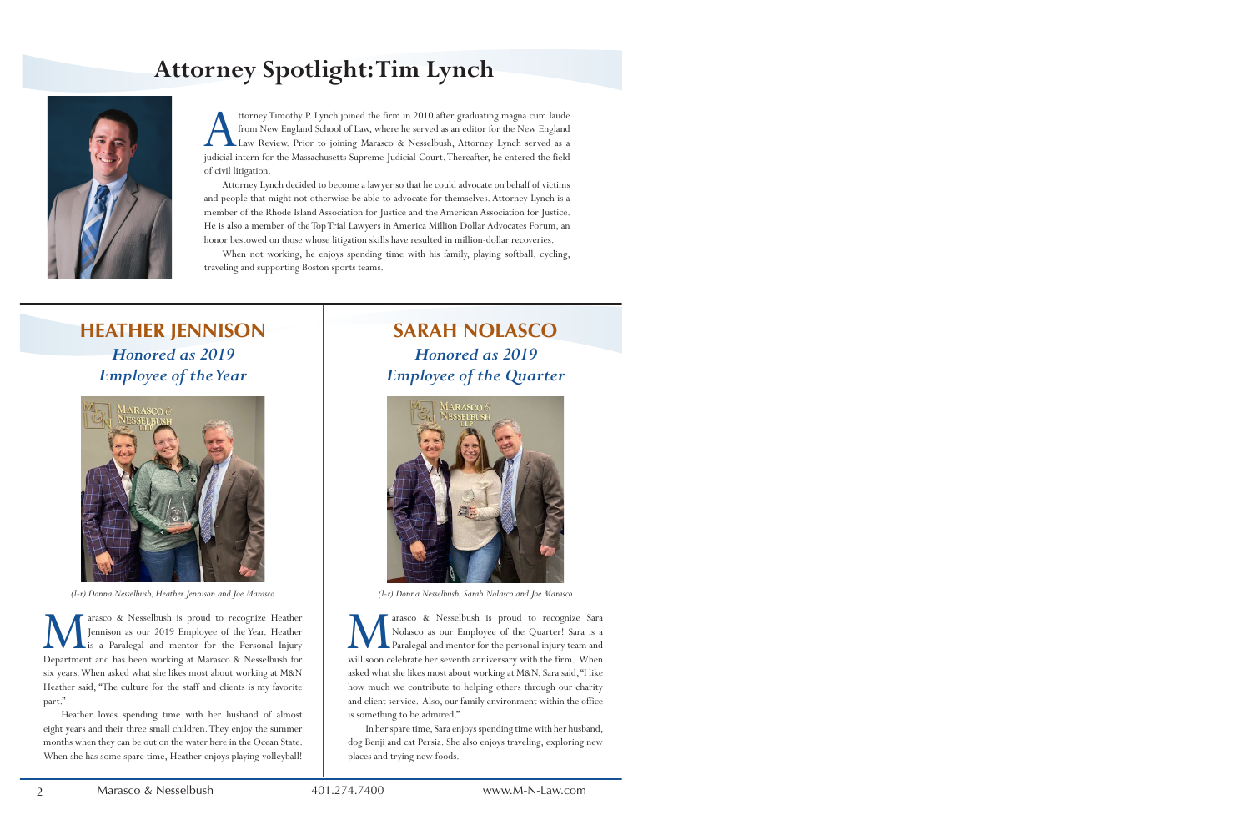# **Attorney Spotlight: Tim Lynch**



ttorney Timothy P. Lynch joined the firm in 2010 after graduating magna cum laude<br>from New England School of Law, where he served as an editor for the New England<br>Law Review. Prior to joining Marasco & Nesselbush, Attorney ttorney Timothy P. Lynch joined the firm in 2010 after graduating magna cum laude from New England School of Law, where he served as an editor for the New England Law Review. Prior to joining Marasco & Nesselbush, Attorney Lynch served as a of civil litigation.

 Attorney Lynch decided to become a lawyer so that he could advocate on behalf of victims and people that might not otherwise be able to advocate for themselves. Attorney Lynch is a member of the Rhode Island Association for Justice and the American Association for Justice. He is also a member of the Top Trial Lawyers in America Million Dollar Advocates Forum, an honor bestowed on those whose litigation skills have resulted in million-dollar recoveries.

 When not working, he enjoys spending time with his family, playing softball, cycling, traveling and supporting Boston sports teams.

## **HEATHER JENNISON** *Honored as 2019 Employee of the Year*



*(l-r) Donna Nesselbush, Heather Jennison and Joe Marasco*

Marasco & Nesselbush is proud to recognize Heather<br>Jennison as our 2019 Employee of the Year. Heather<br>Department and has been working at Marasco & Nesselbush for arasco & Nesselbush is proud to recognize Heather Jennison as our 2019 Employee of the Year. Heather Lis a Paralegal and mentor for the Personal Injury six years. When asked what she likes most about working at M&N Heather said, "The culture for the staff and clients is my favorite part."

 Heather loves spending time with her husband of almost eight years and their three small children. They enjoy the summer months when they can be out on the water here in the Ocean State. When she has some spare time, Heather enjoys playing volleyball!

## **SARAH NOLASCO** *Honored as 2019 Employee of the Quarter*



*(l-r) Donna Nesselbush, Sarah Nolasco and Joe Marasco*

**M** arasco & Nesselbush is proud to recognize Sara Nolasco as our Employee of the Quarter! Sara is a Paralegal and mentor for the personal injury team and will soon celebrate her seventh anniversary with the firm. When arasco & Nesselbush is proud to recognize Sara Nolasco as our Employee of the Quarter! Sara is a Paralegal and mentor for the personal injury team and asked what she likes most about working at M&N, Sara said, "I like how much we contribute to helping others through our charity and client service. Also, our family environment within the office is something to be admired."

 In her spare time, Sara enjoys spending time with her husband, dog Benji and cat Persia. She also enjoys traveling, exploring new places and trying new foods.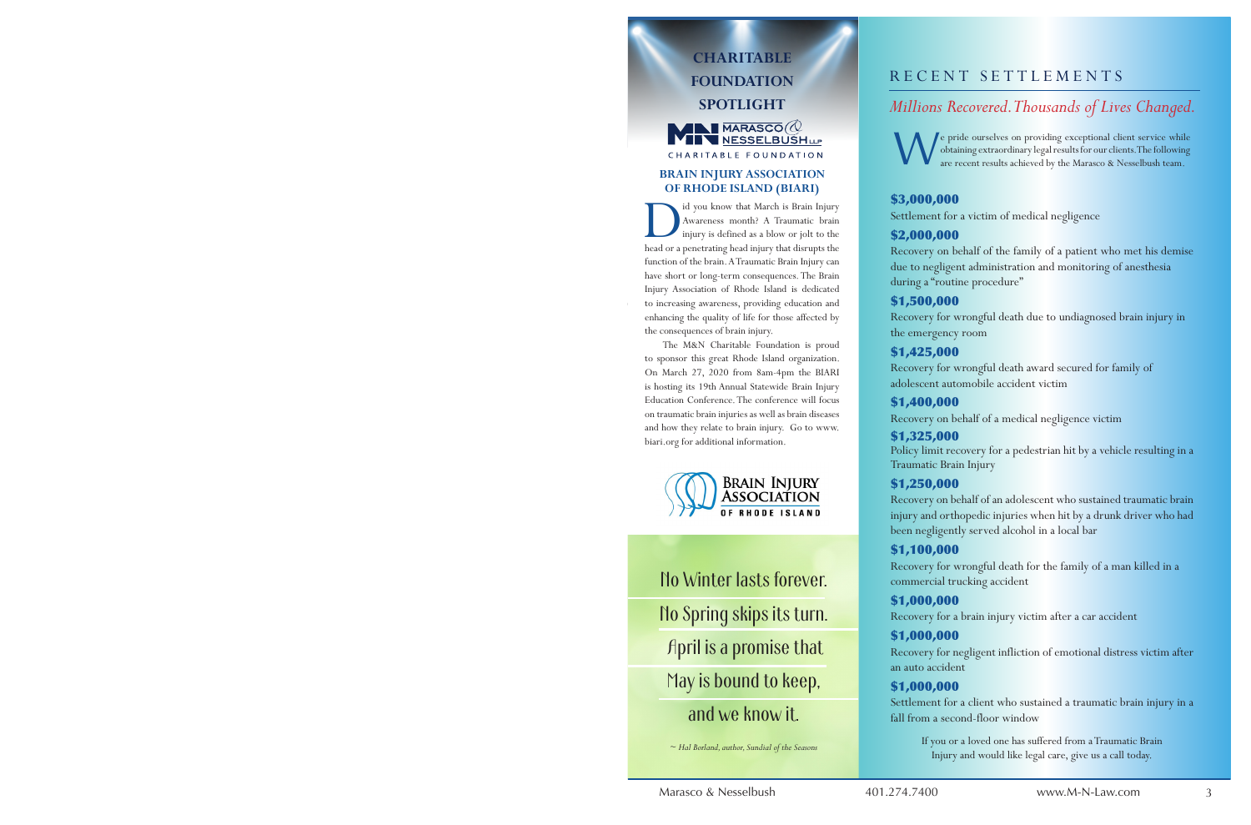## **CHARITABLE FOUNDATION SPOTLIGHT**  $\blacksquare$  MARASCO $\oslash$ **TEN NESSELBUSHLP**

#### **BRAIN INJURY ASSOCIATION OF RHODE ISLAND (BIARI)**

CHARITABLE FOUNDATION

Id you know that March is Brain Injury<br>Awareness month? A Traumatic brain<br>injury is defined as a blow or jolt to the<br>head or a penetrating head injury that disrupts the id you know that March is Brain Injury Awareness month? A Traumatic brain injury is defined as a blow or jolt to the function of the brain. A Traumatic Brain Injury can have short or long-term consequences. The Brain Injury Association of Rhode Island is dedicated to increasing awareness, providing education and enhancing the quality of life for those affected by the consequences of brain injury.

 The M&N Charitable Foundation is proud to sponsor this great Rhode Island organization. On March 27, 2020 from 8am-4pm the BIARI is hosting its 19th Annual Statewide Brain Injury Education Conference. The conference will focus on traumatic brain injuries as well as brain diseases and how they relate to brain injury. Go to www. biari.org for additional information.



No Winter lasts forever. No Spring skips its turn. April is a promise that May is bound to keep, and we know it.

*~ Hal Borland, author, Sundial of the Seasons*

## RECENT SETTLEMENTS

## *Millions Recovered. Thousands of Lives Changed.*

W e pride ourselves on providing exceptional client service while obtaining extraordinary legal results for our clients. The following are recent results achieved by the Marasco & Nesselbush team.

## \$3,000,000

Settlement for a victim of medical negligence

### \$2,000,000

Recovery on behalf of the family of a patient who met his demise due to negligent administration and monitoring of anesthesia during a "routine procedure"

## \$1,500,000

Recovery for wrongful death due to undiagnosed brain injury in the emergency room

## \$1,425,000

Recovery for wrongful death award secured for family of adolescent automobile accident victim

## \$1,400,000

Recovery on behalf of a medical negligence victim

#### \$1,325,000

Policy limit recovery for a pedestrian hit by a vehicle resulting in a Traumatic Brain Injury

## \$1,250,000

Recovery on behalf of an adolescent who sustained traumatic brain injury and orthopedic injuries when hit by a drunk driver who had been negligently served alcohol in a local bar

## \$1,100,000

Recovery for wrongful death for the family of a man killed in a commercial trucking accident

## \$1,000,000

Recovery for a brain injury victim after a car accident

## \$1,000,000

Recovery for negligent infliction of emotional distress victim after an auto accident

## \$1,000,000

Settlement for a client who sustained a traumatic brain injury in a fall from a second-floor window

> If you or a loved one has suffered from a Traumatic Brain Injury and would like legal care, give us a call today.

Marasco & Nesselbush  $401.274.7400$  www.M-N-Law.com 3